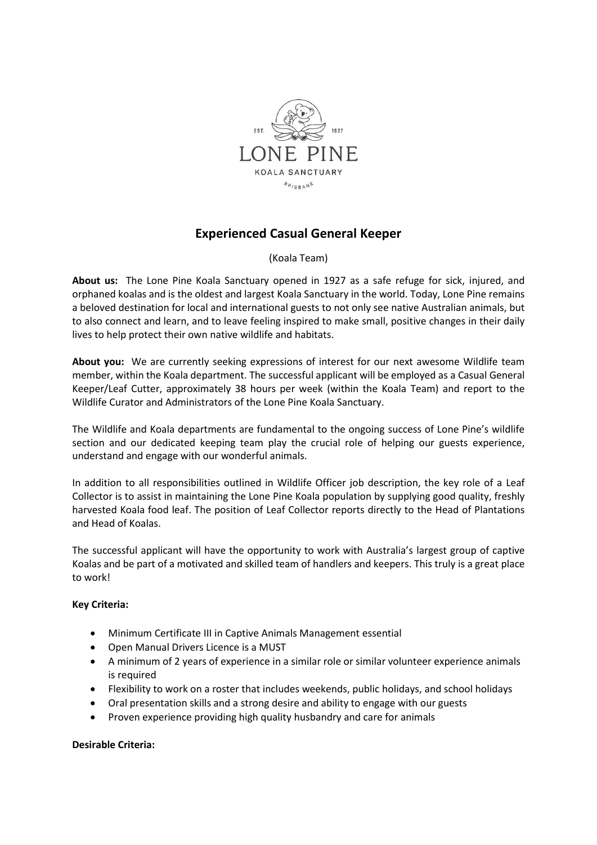

## **Experienced Casual General Keeper**

(Koala Team)

**About us:** The Lone Pine Koala Sanctuary opened in 1927 as a safe refuge for sick, injured, and orphaned koalas and is the oldest and largest Koala Sanctuary in the world. Today, Lone Pine remains a beloved destination for local and international guests to not only see native Australian animals, but to also connect and learn, and to leave feeling inspired to make small, positive changes in their daily lives to help protect their own native wildlife and habitats.

**About you:** We are currently seeking expressions of interest for our next awesome Wildlife team member, within the Koala department. The successful applicant will be employed as a Casual General Keeper/Leaf Cutter, approximately 38 hours per week (within the Koala Team) and report to the Wildlife Curator and Administrators of the Lone Pine Koala Sanctuary.

The Wildlife and Koala departments are fundamental to the ongoing success of Lone Pine's wildlife section and our dedicated keeping team play the crucial role of helping our guests experience, understand and engage with our wonderful animals.

In addition to all responsibilities outlined in Wildlife Officer job description, the key role of a Leaf Collector is to assist in maintaining the Lone Pine Koala population by supplying good quality, freshly harvested Koala food leaf. The position of Leaf Collector reports directly to the Head of Plantations and Head of Koalas.

The successful applicant will have the opportunity to work with Australia's largest group of captive Koalas and be part of a motivated and skilled team of handlers and keepers. This truly is a great place to work!

## **Key Criteria:**

- Minimum Certificate III in Captive Animals Management essential
- Open Manual Drivers Licence is a MUST
- A minimum of 2 years of experience in a similar role or similar volunteer experience animals is required
- Flexibility to work on a roster that includes weekends, public holidays, and school holidays
- Oral presentation skills and a strong desire and ability to engage with our guests
- Proven experience providing high quality husbandry and care for animals

## **Desirable Criteria:**